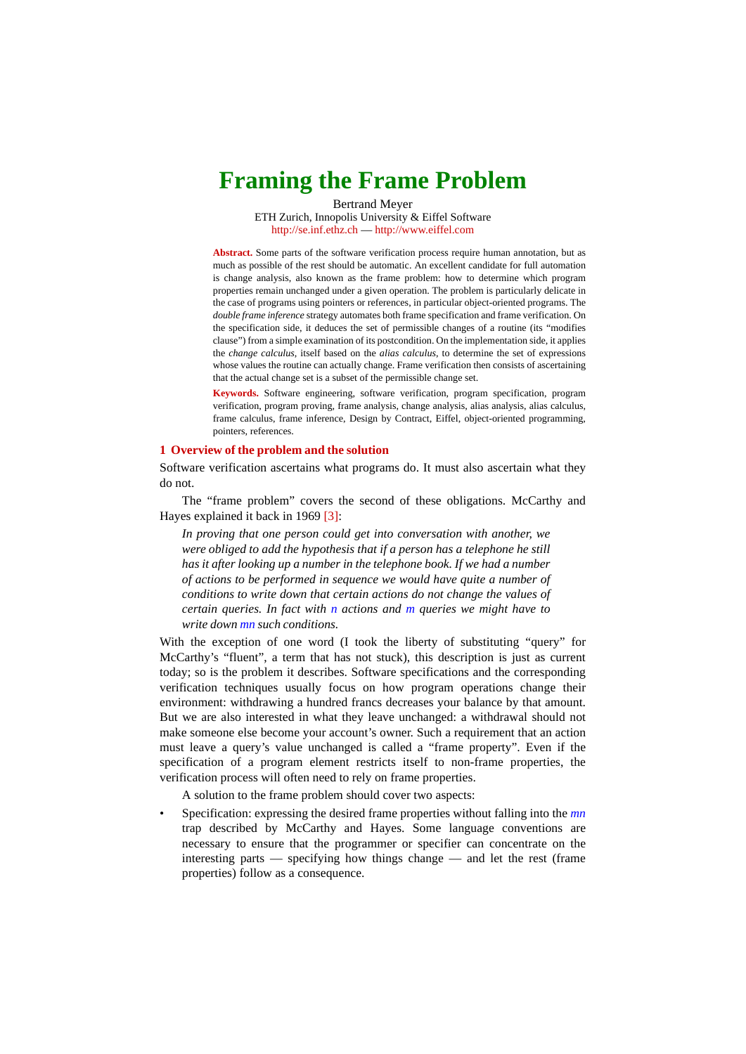# **Framing the Frame Problem**

Bertrand Meyer ETH Zurich, Innopolis University & Eiffel Software http://se.inf.ethz.ch — http://www.eiffel.com

**Abstract.** Some parts of the software verification process require human annotation, but as much as possible of the rest should be automatic. An excellent candidate for full automation is change analysis, also known as the frame problem: how to determine which program properties remain unchanged under a given operation. The problem is particularly delicate in the case of programs using pointers or references, in particular object-oriented programs. The *double frame inference* strategy automates both frame specification and frame verification. On the specification side, it deduces the set of permissible changes of a routine (its "modifies clause") from a simple examination of its postcondition. On the implementation side, it applies the *change calculus*, itself based on the *alias calculus*, to determine the set of expressions whose values the routine can actually change. Frame verification then consists of ascertaining that the actual change set is a subset of the permissible change set.

**Keywords.** Software engineering, software verification, program specification, program verification, program proving, frame analysis, change analysis, alias analysis, alias calculus, frame calculus, frame inference, Design by Contract, Eiffel, object-oriented programming, pointers, references.

# **1 Overview of the problem and the solution**

Software verification ascertains what programs do. It must also ascertain what they do not.

The "frame problem" covers the second of these obligations. McCarthy and Hayes explained it back in 1969 [\[3\]](#page-10-0):

*In proving that one person could get into conversation with another, we were obliged to add the hypothesis that if a person has a telephone he still has it after looking up a number in the telephone book. If we had a number of actions to be performed in sequence we would have quite a number of conditions to write down that certain actions do not change the values of certain queries. In fact with n actions and m queries we might have to write down mn such conditions.*

With the exception of one word (I took the liberty of substituting "query" for McCarthy's "fluent", a term that has not stuck), this description is just as current today; so is the problem it describes. Software specifications and the corresponding verification techniques usually focus on how program operations change their environment: withdrawing a hundred francs decreases your balance by that amount. But we are also interested in what they leave unchanged: a withdrawal should not make someone else become your account's owner. Such a requirement that an action must leave a query's value unchanged is called a "frame property". Even if the specification of a program element restricts itself to non-frame properties, the verification process will often need to rely on frame properties.

A solution to the frame problem should cover two aspects:

• Specification: expressing the desired frame properties without falling into the *mn*  trap described by McCarthy and Hayes. Some language conventions are necessary to ensure that the programmer or specifier can concentrate on the interesting parts — specifying how things change — and let the rest (frame properties) follow as a consequence.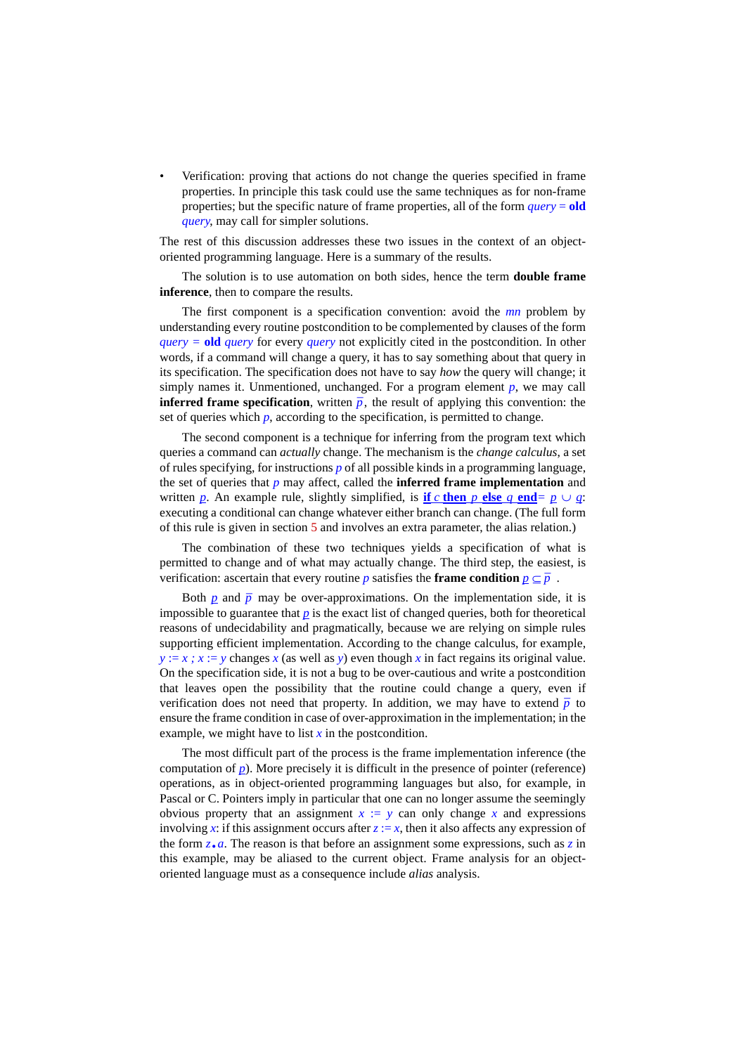• Verification: proving that actions do not change the queries specified in frame properties. In principle this task could use the same techniques as for non-frame properties; but the specific nature of frame properties, all of the form *query* = **old** *query*, may call for simpler solutions.

The rest of this discussion addresses these two issues in the context of an objectoriented programming language. Here is a summary of the results.

The solution is to use automation on both sides, hence the term **double frame inference**, then to compare the results.

The first component is a specification convention: avoid the *mn* problem by understanding every routine postcondition to be complemented by clauses of the form *query =* **old** *query* for every *query* not explicitly cited in the postcondition. In other words, if a command will change a query, it has to say something about that query in its specification. The specification does not have to say *how* the query will change; it simply names it. Unmentioned, unchanged. For a program element  $p$ , we may call **inferred frame specification**, written  $\overline{p}$ , the result of applying this convention: the set of queries which  $p$ , according to the specification, is permitted to change.

The second component is a technique for inferring from the program text which queries a command can *actually* change. The mechanism is the *change calculus*, a set of rules specifying, for instructions *p* of all possible kinds in a programming language, the set of queries that *p* may affect, called the **inferred frame implementation** and written *p*. An example rule, slightly simplified, is **if** *c* **then** *p* **else** *q* **end**=  $p \cup q$ : executing a conditional can change whatever either branch can change. (The full form of this rule is given in section [5](#page-6-0) and involves an extra parameter, the alias relation.)

The combination of these two techniques yields a specification of what is permitted to change and of what may actually change. The third step, the easiest, is permitted to change and of what may actually change. The third step, the easte<br>verification: ascertain that every routine *p* satisfies the **frame condition**  $\underline{p} \subseteq \overline{p}$ .

Both  $p$  and  $\overline{p}$  may be over-approximations. On the implementation side, it is impossible to guarantee that  $p$  is the exact list of changed queries, both for theoretical reasons of undecidability and pragmatically, because we are relying on simple rules supporting efficient implementation. According to the change calculus, for example,  $y := x$ ;  $x := y$  changes  $x$  (as well as  $y$ ) even though  $x$  in fact regains its original value. On the specification side, it is not a bug to be over-cautious and write a postcondition that leaves open the possibility that the routine could change a query, even if that leaves open the possibility that the routine could change a query, even if<br>verification does not need that property. In addition, we may have to extend  $\bar{p}$  to ensure the frame condition in case of over-approximation in the implementation; in the example, we might have to list  $x$  in the postcondition.

The most difficult part of the process is the frame implementation inference (the computation of  $p$ ). More precisely it is difficult in the presence of pointer (reference) operations, as in object-oriented programming languages but also, for example, in Pascal or C. Pointers imply in particular that one can no longer assume the seemingly obvious property that an assignment  $x := y$  can only change x and expressions involving x: if this assignment occurs after  $z := x$ , then it also affects any expression of the form  $z \cdot a$ . The reason is that before an assignment some expressions, such as  $\overline{z}$  in this example, may be aliased to the current object. Frame analysis for an objectoriented language must as a consequence include *alias* analysis.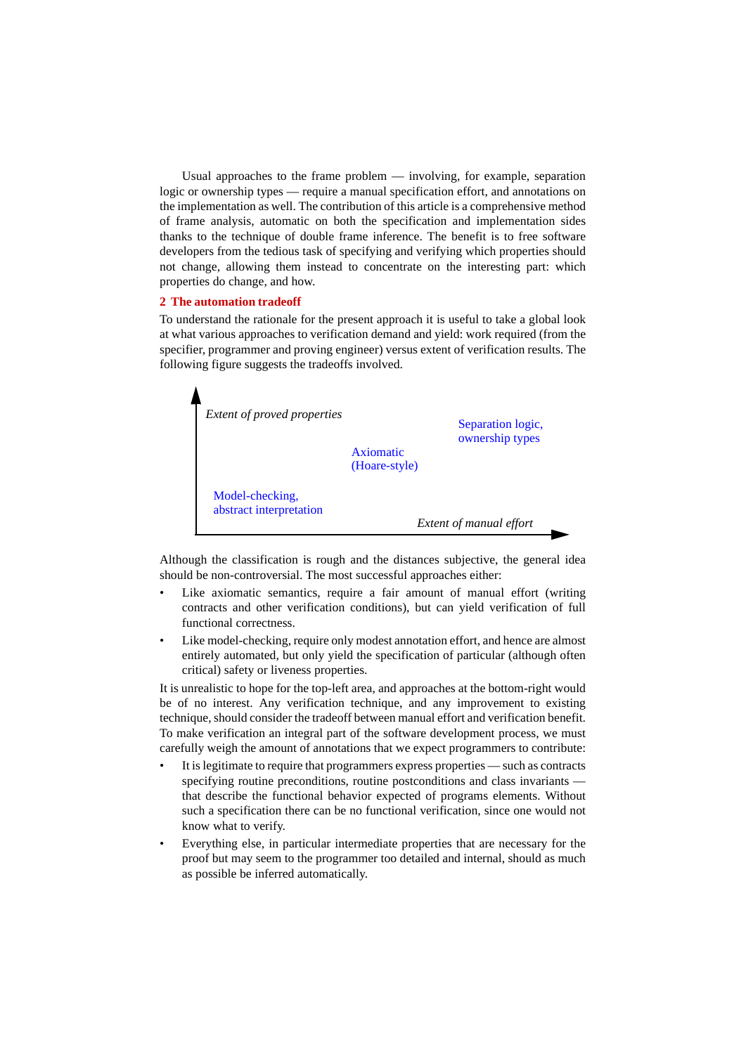Usual approaches to the frame problem — involving, for example, separation logic or ownership types — require a manual specification effort, and annotations on the implementation as well. The contribution of this article is a comprehensive method of frame analysis, automatic on both the specification and implementation sides thanks to the technique of double frame inference. The benefit is to free software developers from the tedious task of specifying and verifying which properties should not change, allowing them instead to concentrate on the interesting part: which properties do change, and how.

# **2 The automation tradeoff**

To understand the rationale for the present approach it is useful to take a global look at what various approaches to verification demand and yield: work required (from the specifier, programmer and proving engineer) versus extent of verification results. The following figure suggests the tradeoffs involved.



Although the classification is rough and the distances subjective, the general idea should be non-controversial. The most successful approaches either:

- Like axiomatic semantics, require a fair amount of manual effort (writing contracts and other verification conditions), but can yield verification of full functional correctness.
- Like model-checking, require only modest annotation effort, and hence are almost entirely automated, but only yield the specification of particular (although often critical) safety or liveness properties.

It is unrealistic to hope for the top-left area, and approaches at the bottom-right would be of no interest. Any verification technique, and any improvement to existing technique, should consider the tradeoff between manual effort and verification benefit. To make verification an integral part of the software development process, we must carefully weigh the amount of annotations that we expect programmers to contribute:

- It is legitimate to require that programmers express properties such as contracts specifying routine preconditions, routine postconditions and class invariants that describe the functional behavior expected of programs elements. Without such a specification there can be no functional verification, since one would not know what to verify.
- Everything else, in particular intermediate properties that are necessary for the proof but may seem to the programmer too detailed and internal, should as much as possible be inferred automatically.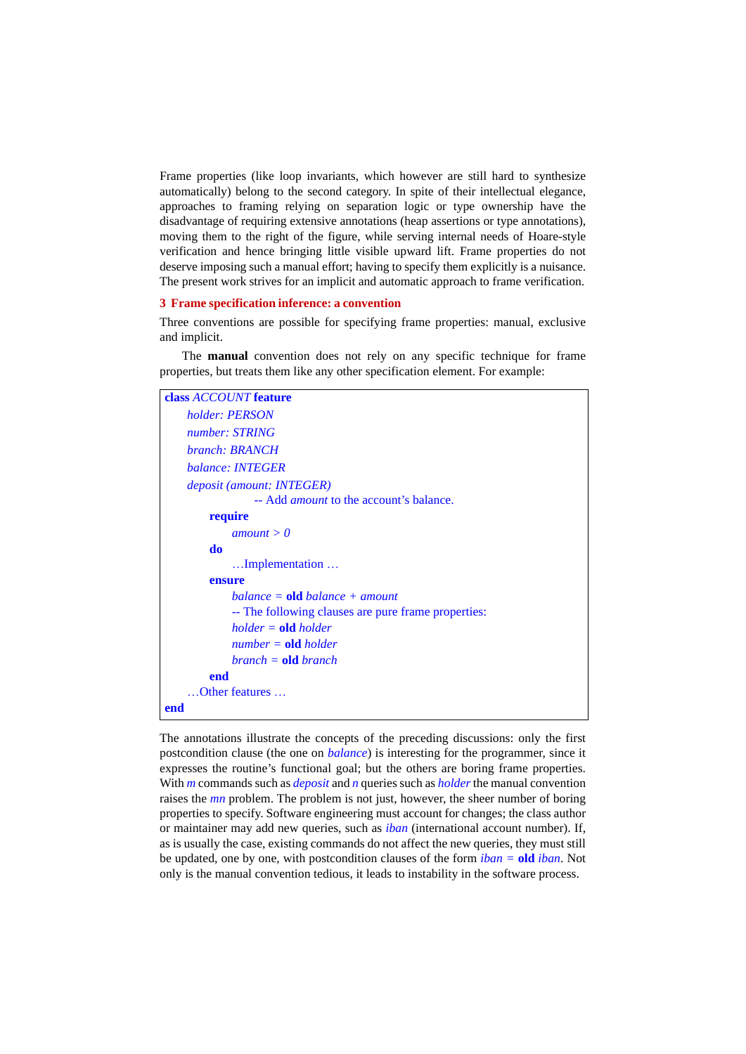Frame properties (like loop invariants, which however are still hard to synthesize automatically) belong to the second category. In spite of their intellectual elegance, approaches to framing relying on separation logic or type ownership have the disadvantage of requiring extensive annotations (heap assertions or type annotations), moving them to the right of the figure, while serving internal needs of Hoare-style verification and hence bringing little visible upward lift. Frame properties do not deserve imposing such a manual effort; having to specify them explicitly is a nuisance. The present work strives for an implicit and automatic approach to frame verification.

# **3 Frame specification inference: a convention**

Three conventions are possible for specifying frame properties: manual, exclusive and implicit.

The **manual** convention does not rely on any specific technique for frame properties, but treats them like any other specification element. For example:

| class <i>ACCOUNT</i> feature                        |  |
|-----------------------------------------------------|--|
| holder: PERSON                                      |  |
| number: STRING                                      |  |
| branch: BRANCH                                      |  |
| balance: <b>INTEGER</b>                             |  |
| deposit (amount: INTEGER)                           |  |
| -- Add <i>amount</i> to the account's balance.      |  |
| require                                             |  |
| amount > 0                                          |  |
| do                                                  |  |
| Implementation                                      |  |
| ensure                                              |  |
| balance = $\textbf{old}$ balance + amount           |  |
| -- The following clauses are pure frame properties: |  |
| $holder = old holder$                               |  |
| $number = old holder$                               |  |
| $branch = old branch$                               |  |
| end                                                 |  |
| Other features                                      |  |
| end                                                 |  |

The annotations illustrate the concepts of the preceding discussions: only the first postcondition clause (the one on *balance*) is interesting for the programmer, since it expresses the routine's functional goal; but the others are boring frame properties. With *m* commands such as *deposit* and *n* queries such as *holder* the manual convention raises the *mn* problem. The problem is not just, however, the sheer number of boring properties to specify. Software engineering must account for changes; the class author or maintainer may add new queries, such as *iban* (international account number). If, as is usually the case, existing commands do not affect the new queries, they must still be updated, one by one, with postcondition clauses of the form *iban =* **old** *iban*. Not only is the manual convention tedious, it leads to instability in the software process.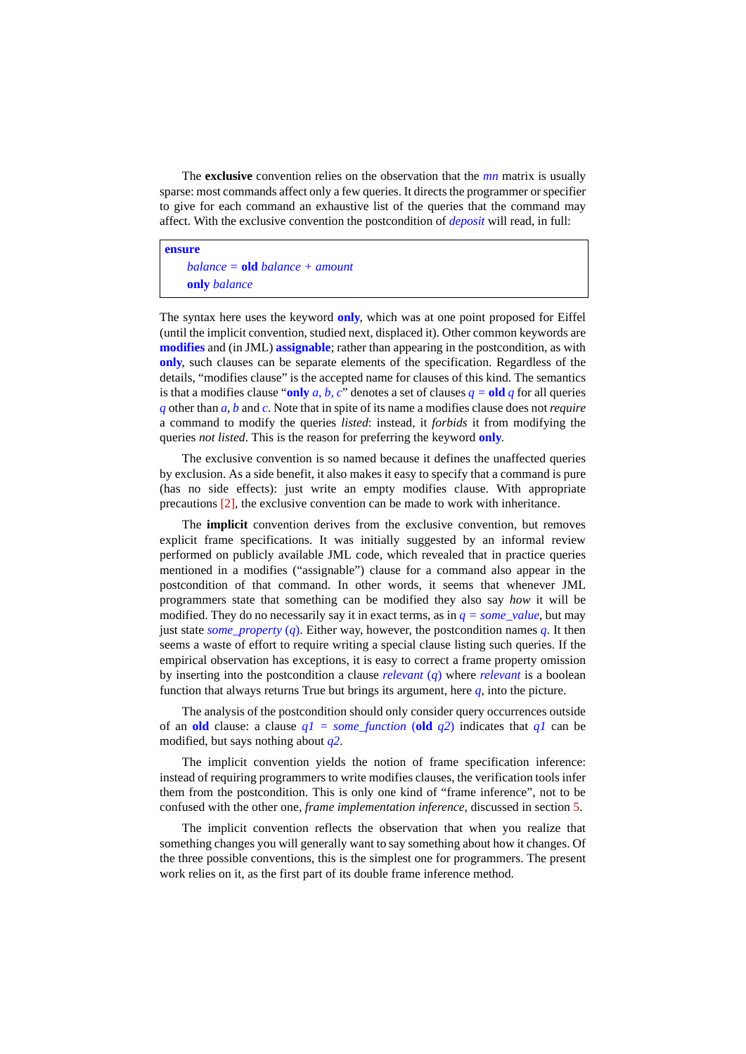The **exclusive** convention relies on the observation that the *mn* matrix is usually sparse: most commands affect only a few queries. It directs the programmer or specifier to give for each command an exhaustive list of the queries that the command may affect. With the exclusive convention the postcondition of *deposit* will read, in full:

#### **ensure**

*balance =* **old** *balance + amount* **only** *balance*

The syntax here uses the keyword **only**, which was at one point proposed for Eiffel (until the implicit convention, studied next, displaced it). Other common keywords are **modifies** and (in JML) **assignable**; rather than appearing in the postcondition, as with **only**, such clauses can be separate elements of the specification. Regardless of the details, "modifies clause" is the accepted name for clauses of this kind. The semantics is that a modifies clause "only *a, b, c*" denotes a set of clauses  $q =$  old *q* for all queries *q* other than *a*, *b* and *c*. Note that in spite of its name a modifies clause does not *require* a command to modify the queries *listed*: instead, it *forbids* it from modifying the queries *not listed*. This is the reason for preferring the keyword **only**.

The exclusive convention is so named because it defines the unaffected queries by exclusion. As a side benefit, it also makes it easy to specify that a command is pure (has no side effects): just write an empty modifies clause. With appropriate precautions [\[2\],](#page-10-1) the exclusive convention can be made to work with inheritance.

The **implicit** convention derives from the exclusive convention, but removes explicit frame specifications. It was initially suggested by an informal review performed on publicly available JML code, which revealed that in practice queries mentioned in a modifies ("assignable") clause for a command also appear in the postcondition of that command. In other words, it seems that whenever JML programmers state that something can be modified they also say *how* it will be modified. They do no necessarily say it in exact terms, as in  $q = some_value$ , but may just state *some\_property* (*q*). Either way, however, the postcondition names *q*. It then seems a waste of effort to require writing a special clause listing such queries. If the empirical observation has exceptions, it is easy to correct a frame property omission by inserting into the postcondition a clause *relevant* (*q*) where *relevant* is a boolean function that always returns True but brings its argument, here *q*, into the picture.

The analysis of the postcondition should only consider query occurrences outside of an **old** clause: a clause  $q1 =$  some\_function (**old**  $q2$ ) indicates that  $q1$  can be modified, but says nothing about *q2*.

The implicit convention yields the notion of frame specification inference: instead of requiring programmers to write modifies clauses, the verification tools infer them from the postcondition. This is only one kind of "frame inference", not to be confused with the other one, *frame implementation inference,* discussed in section [5.](#page-6-0)

The implicit convention reflects the observation that when you realize that something changes you will generally want to say something about how it changes. Of the three possible conventions, this is the simplest one for programmers. The present work relies on it, as the first part of its double frame inference method.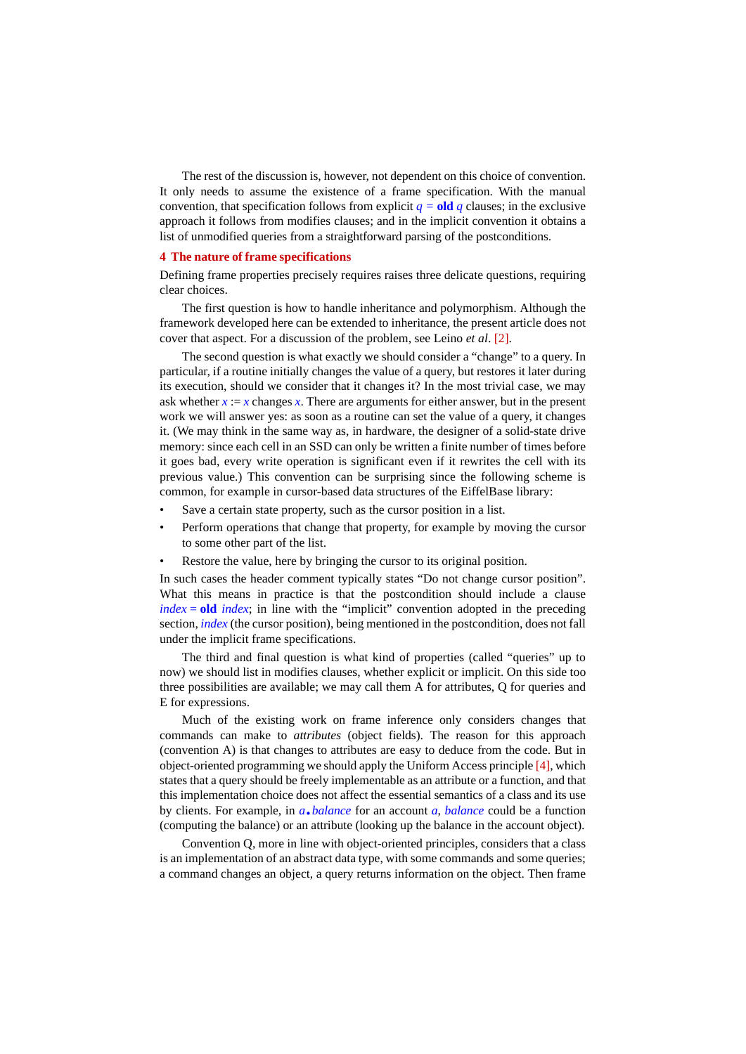The rest of the discussion is, however, not dependent on this choice of convention. It only needs to assume the existence of a frame specification. With the manual convention, that specification follows from explicit  $q = oldq$  clauses; in the exclusive approach it follows from modifies clauses; and in the implicit convention it obtains a list of unmodified queries from a straightforward parsing of the postconditions.

# **4 The nature of frame specifications**

Defining frame properties precisely requires raises three delicate questions, requiring clear choices.

The first question is how to handle inheritance and polymorphism. Although the framework developed here can be extended to inheritance, the present article does not cover that aspect. For a discussion of the problem, see Leino *et al*. [\[2\]](#page-10-1).

The second question is what exactly we should consider a "change" to a query. In particular, if a routine initially changes the value of a query, but restores it later during its execution, should we consider that it changes it? In the most trivial case, we may ask whether  $x := x$  changes  $x$ . There are arguments for either answer, but in the present work we will answer yes: as soon as a routine can set the value of a query, it changes it. (We may think in the same way as, in hardware, the designer of a solid-state drive memory: since each cell in an SSD can only be written a finite number of times before it goes bad, every write operation is significant even if it rewrites the cell with its previous value.) This convention can be surprising since the following scheme is common, for example in cursor-based data structures of the EiffelBase library:

- Save a certain state property, such as the cursor position in a list.
- Perform operations that change that property, for example by moving the cursor to some other part of the list.
- Restore the value, here by bringing the cursor to its original position.

In such cases the header comment typically states "Do not change cursor position". What this means in practice is that the postcondition should include a clause  $index = old$  *index*; in line with the "implicit" convention adopted in the preceding section, *index* (the cursor position), being mentioned in the postcondition, does not fall under the implicit frame specifications.

The third and final question is what kind of properties (called "queries" up to now) we should list in modifies clauses, whether explicit or implicit. On this side too three possibilities are available; we may call them A for attributes, Q for queries and E for expressions.

Much of the existing work on frame inference only considers changes that commands can make to *attributes* (object fields). The reason for this approach (convention A) is that changes to attributes are easy to deduce from the code. But in object-oriented programming we should apply the Uniform Access principle [\[4\]](#page-10-2), which states that a query should be freely implementable as an attribute or a function, and that this implementation choice does not affect the essential semantics of a class and its use by clients. For example, in *a*.*balance* for an account *a*, *balance* could be a function (computing the balance) or an attribute (looking up the balance in the account object).

Convention Q, more in line with object-oriented principles, considers that a class is an implementation of an abstract data type, with some commands and some queries; a command changes an object, a query returns information on the object. Then frame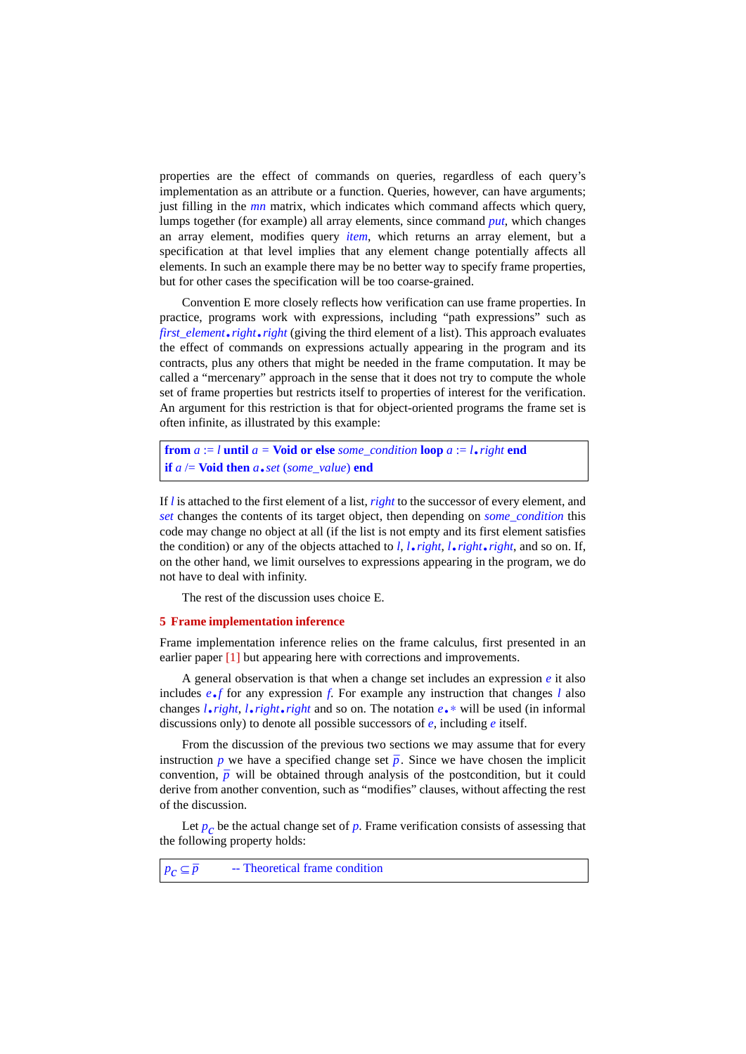properties are the effect of commands on queries, regardless of each query's implementation as an attribute or a function. Queries, however, can have arguments; just filling in the *mn* matrix, which indicates which command affects which query, lumps together (for example) all array elements, since command *put*, which changes an array element, modifies query *item*, which returns an array element, but a specification at that level implies that any element change potentially affects all elements. In such an example there may be no better way to specify frame properties, but for other cases the specification will be too coarse-grained.

Convention E more closely reflects how verification can use frame properties. In practice, programs work with expressions, including "path expressions" such as *first\_element*.*right*.*right* (giving the third element of a list). This approach evaluates the effect of commands on expressions actually appearing in the program and its contracts, plus any others that might be needed in the frame computation. It may be called a "mercenary" approach in the sense that it does not try to compute the whole set of frame properties but restricts itself to properties of interest for the verification. An argument for this restriction is that for object-oriented programs the frame set is often infinite, as illustrated by this example:

**from** *a* := *l* **until** *a =* **Void or else** *some\_condition* **loop** *a* := *l*.*right* **end if**  $a \neq$  **Void then**  $a \cdot set$  (*some\_value*) **end** 

If *l* is attached to the first element of a list, *right* to the successor of every element, and *set* changes the contents of its target object, then depending on *some\_condition* this code may change no object at all (if the list is not empty and its first element satisfies the condition) or any of the objects attached to *l*, *l*.*right*, *l*.*right*.*right*, and so on. If, on the other hand, we limit ourselves to expressions appearing in the program, we do not have to deal with infinity.

The rest of the discussion uses choice E.

#### <span id="page-6-0"></span>**5 Frame implementation inference**

Frame implementation inference relies on the frame calculus, first presented in an earlier paper [\[1\]](#page-10-3) but appearing here with corrections and improvements.

A general observation is that when a change set includes an expression *e* it also includes *e*.*f* for any expression *f*. For example any instruction that changes *l* also changes *l*.*right*, *l*.*right*.*right* and so on. The notation *e*.∗ will be used (in informal discussions only) to denote all possible successors of *e*, including *e* itself.

From the discussion of the previous two sections we may assume that for every instruction  $p$  we have a specified change set  $\overline{p}$ . Since we have chosen the implicit instruction *p* we have a specified change set *p*. Since we have chosen the implicit convention,  $\overline{p}$  will be obtained through analysis of the postcondition, but it could derive from another convention, such as "modifies" clauses, without affecting the rest of the discussion.

Let  $p_c$  be the actual change set of  $p$ . Frame verification consists of assessing that the following property holds:

 $p_c \subseteq \overline{p}$ *\_* -- Theoretical frame condition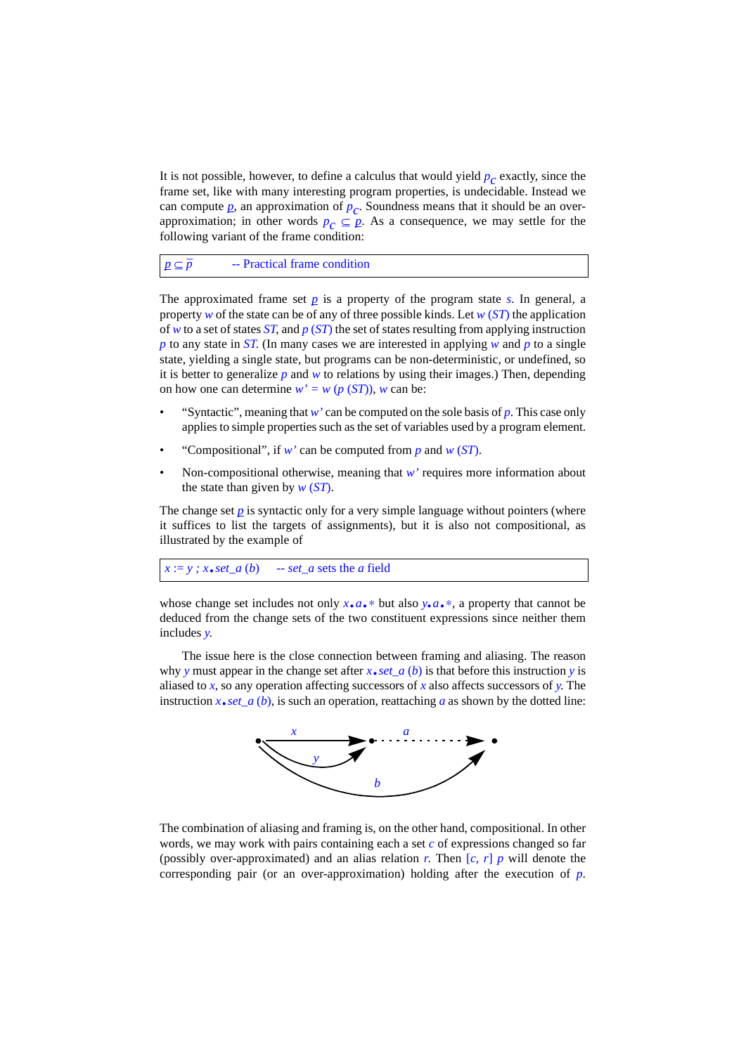It is not possible, however, to define a calculus that would yield  $p_c$  exactly, since the frame set, like with many interesting program properties, is undecidable. Instead we can compute  $p$ , an approximation of  $p_c$ . Soundness means that it should be an overapproximation; in other words  $p_c \subseteq p$ . As a consequence, we may settle for the following variant of the frame condition:

 $p$  ⊆  $\bar{p}$ *\_* -- Practical frame condition

The approximated frame set  $p$  is a property of the program state  $s$ . In general, a property *w* of the state can be of any of three possible kinds. Let *w* (*ST*) the application of *w* to a set of states *ST*, and *p* (*ST*) the set of states resulting from applying instruction *p* to any state in *ST*. (In many cases we are interested in applying *w* and *p* to a single state, yielding a single state, but programs can be non-deterministic, or undefined, so it is better to generalize  $p$  and  $w$  to relations by using their images.) Then, depending on how one can determine  $w' = w (p (ST))$ , *w* can be:

- "Syntactic", meaning that  $w'$  can be computed on the sole basis of  $p$ . This case only applies to simple properties such as the set of variables used by a program element.
- "Compositional", if *w'* can be computed from *p* and *w* (*ST*).
- Non-compositional otherwise, meaning that  $w'$  requires more information about the state than given by *w* (*ST*).

The change set  $\bar{p}$  is syntactic only for a very simple language without pointers (where it suffices to list the targets of assignments), but it is also not compositional, as illustrated by the example of

```
x := y; x \cdot set_a(b) \quad - set_a sets the a field
```
whose change set includes not only  $x \cdot a \cdot *$  but also  $y \cdot a \cdot *$ , a property that cannot be deduced from the change sets of the two constituent expressions since neither them includes *y*.

The issue here is the close connection between framing and aliasing. The reason why *y* must appear in the change set after *x*.*set\_a* (*b*) is that before this instruction *y* is aliased to *x*, so any operation affecting successors of *x* also affects successors of *y*. The instruction  $x \cdot \text{set}_a (b)$ , is such an operation, reattaching *a* as shown by the dotted line:



The combination of aliasing and framing is, on the other hand, compositional. In other words, we may work with pairs containing each a set *c* of expressions changed so far (possibly over-approximated) and an alias relation *r*. Then  $[c, r]$  *p* will denote the corresponding pair (or an over-approximation) holding after the execution of *p*.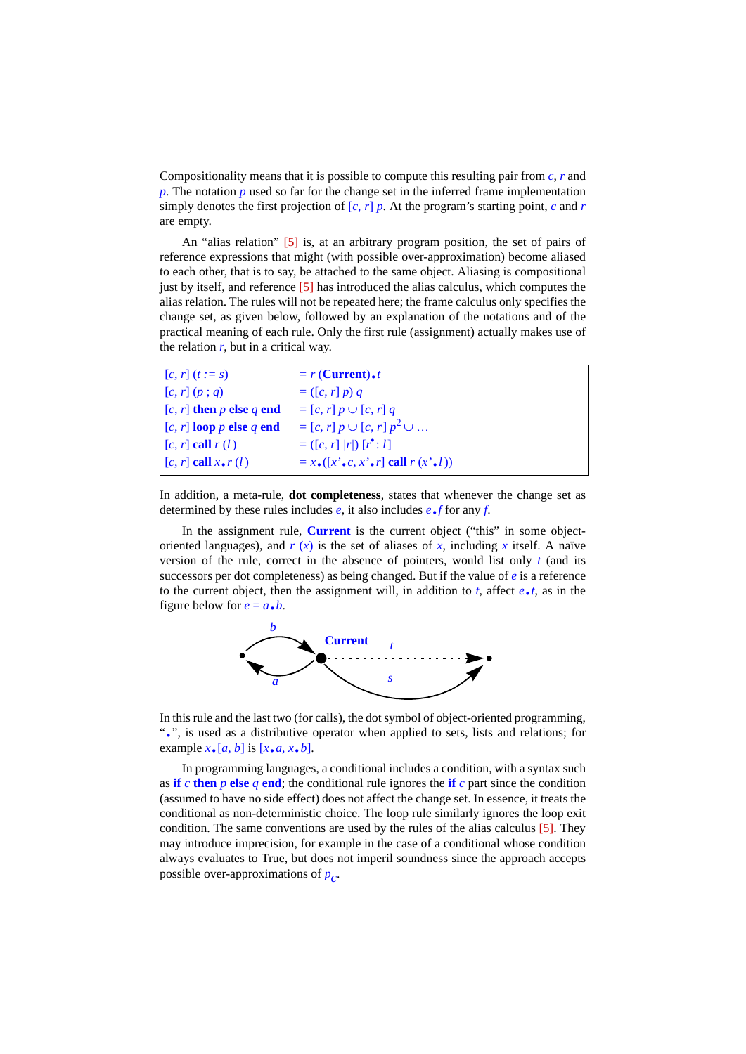Compositionality means that it is possible to compute this resulting pair from *c*, *r* and *p*. The notation *p* used so far for the change set in the inferred frame implementation simply denotes the first projection of  $[c, r]$  *p*. At the program's starting point, *c* and *r* are empty.

An "alias relation" [\[5\]](#page-10-4) is, at an arbitrary program position, the set of pairs of reference expressions that might (with possible over-approximation) become aliased to each other, that is to say, be attached to the same object. Aliasing is compositional just by itself, and reference [\[5\]](#page-10-4) has introduced the alias calculus, which computes the alias relation. The rules will not be repeated here; the frame calculus only specifies the change set, as given below, followed by an explanation of the notations and of the practical meaning of each rule. Only the first rule (assignment) actually makes use of the relation  $r$ , but in a critical way.

| $[c, r](t := s)$             | $= r$ (Current).                                            |
|------------------------------|-------------------------------------------------------------|
| [c, r] (p; q)                | $= (\lceil c, r \rceil p) q$                                |
| $[c, r]$ then p else q end   | $= [c, r] p \cup [c, r] q$                                  |
| $[c, r]$ loop p else q end   | $= [c, r] p \cup [c, r] p^2 \cup $                          |
| $[c, r]$ call $r(l)$         | $= ([c, r]  r ) [r^{\bullet}: l]$                           |
| $[c, r]$ call $x \cdot r(l)$ | $= x \cdot ([x' \cdot c, x' \cdot r]$ call $r(x' \cdot l))$ |

In addition, a meta-rule, **dot completeness**, states that whenever the change set as determined by these rules includes *e*, it also includes *e*.*f* for any *f*.

In the assignment rule, **Current** is the current object ("this" in some objectoriented languages), and  $r(x)$  is the set of aliases of x, including x itself. A naïve version of the rule, correct in the absence of pointers, would list only *t* (and its successors per dot completeness) as being changed. But if the value of *e* is a reference to the current object, then the assignment will, in addition to *t*, affect *e*.*t*, as in the figure below for  $e = a \cdot b$ .



In this rule and the last two (for calls), the dot symbol of object-oriented programming, ".", is used as a distributive operator when applied to sets, lists and relations; for example  $x \cdot [a, b]$  is  $[x \cdot a, x \cdot b]$ .

In programming languages, a conditional includes a condition, with a syntax such as **if** *c* **then** *p* **else** *q* **end**; the conditional rule ignores the **if** *c* part since the condition (assumed to have no side effect) does not affect the change set. In essence, it treats the conditional as non-deterministic choice. The loop rule similarly ignores the loop exit condition. The same conventions are used by the rules of the alias calculus [\[5\]](#page-10-4). They may introduce imprecision, for example in the case of a conditional whose condition always evaluates to True, but does not imperil soundness since the approach accepts possible over-approximations of  $p_c$ .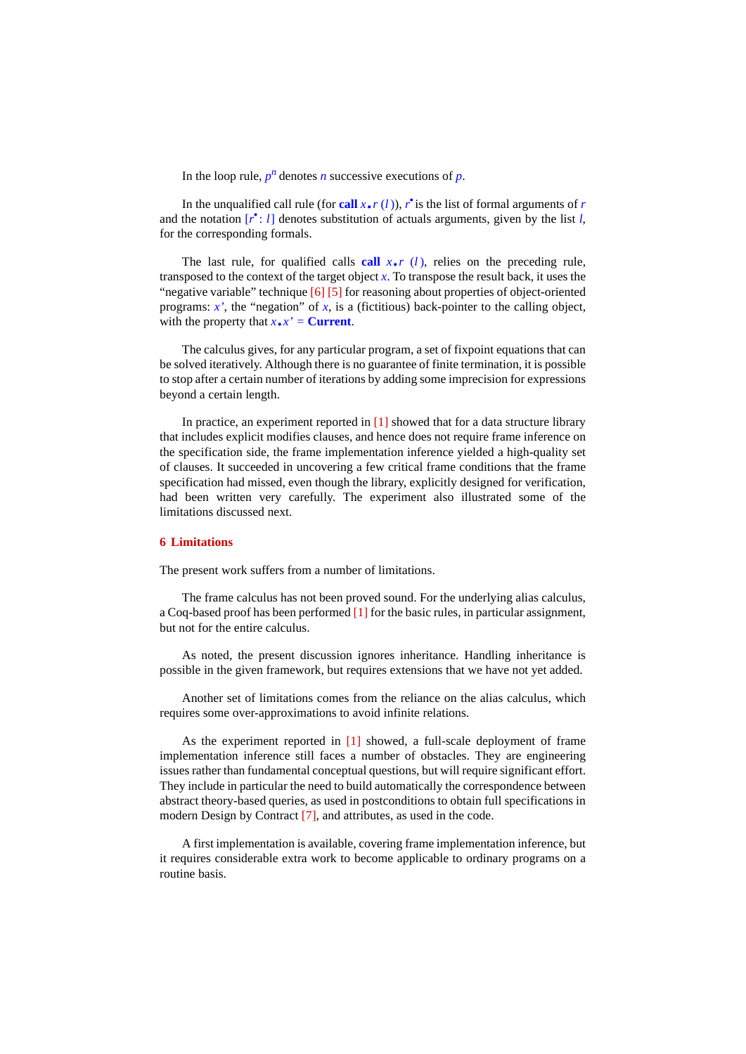In the loop rule,  $p^n$  denotes *n* successive executions of  $p$ .

In the unqualified call rule (for **call** *x***.***r* (*l*)), *r*<sup> $\cdot$ </sup> is the list of formal arguments of *r* the notation  $\left[$   $\mathbf{r}^{\star}$  : *I*<sub>1</sub> denotes substitution of actuals arguments, given by the list *l* and the notation  $[r^*:l]$  denotes substitution of actuals arguments, given by the list *l*, for the corresponding formals.

The last rule, for qualified calls call  $x \cdot r$  (*l*), relies on the preceding rule, transposed to the context of the target object  $x$ . To transpose the result back, it uses the "negative variable" technique [\[6\]](#page-10-5) [\[5\]](#page-10-4) for reasoning about properties of object-oriented programs:  $x'$ , the "negation" of  $x$ , is a (fictitious) back-pointer to the calling object, with the property that  $x \cdot x' =$  **Current**.

The calculus gives, for any particular program, a set of fixpoint equations that can be solved iteratively. Although there is no guarantee of finite termination, it is possible to stop after a certain number of iterations by adding some imprecision for expressions beyond a certain length.

In practice, an experiment reported in  $[1]$  showed that for a data structure library that includes explicit modifies clauses, and hence does not require frame inference on the specification side, the frame implementation inference yielded a high-quality set of clauses. It succeeded in uncovering a few critical frame conditions that the frame specification had missed, even though the library, explicitly designed for verification, had been written very carefully. The experiment also illustrated some of the limitations discussed next.

# **6 Limitations**

The present work suffers from a number of limitations.

The frame calculus has not been proved sound. For the underlying alias calculus, a Coq-based proof has been performed [\[1\]](#page-10-3) for the basic rules, in particular assignment, but not for the entire calculus.

As noted, the present discussion ignores inheritance. Handling inheritance is possible in the given framework, but requires extensions that we have not yet added.

Another set of limitations comes from the reliance on the alias calculus, which requires some over-approximations to avoid infinite relations.

As the experiment reported in [\[1\]](#page-10-3) showed, a full-scale deployment of frame implementation inference still faces a number of obstacles. They are engineering issues rather than fundamental conceptual questions, but will require significant effort. They include in particular the need to build automatically the correspondence between abstract theory-based queries, as used in postconditions to obtain full specifications in modern Design by Contract [\[7\]](#page-10-6), and attributes, as used in the code.

A first implementation is available, covering frame implementation inference, but it requires considerable extra work to become applicable to ordinary programs on a routine basis.